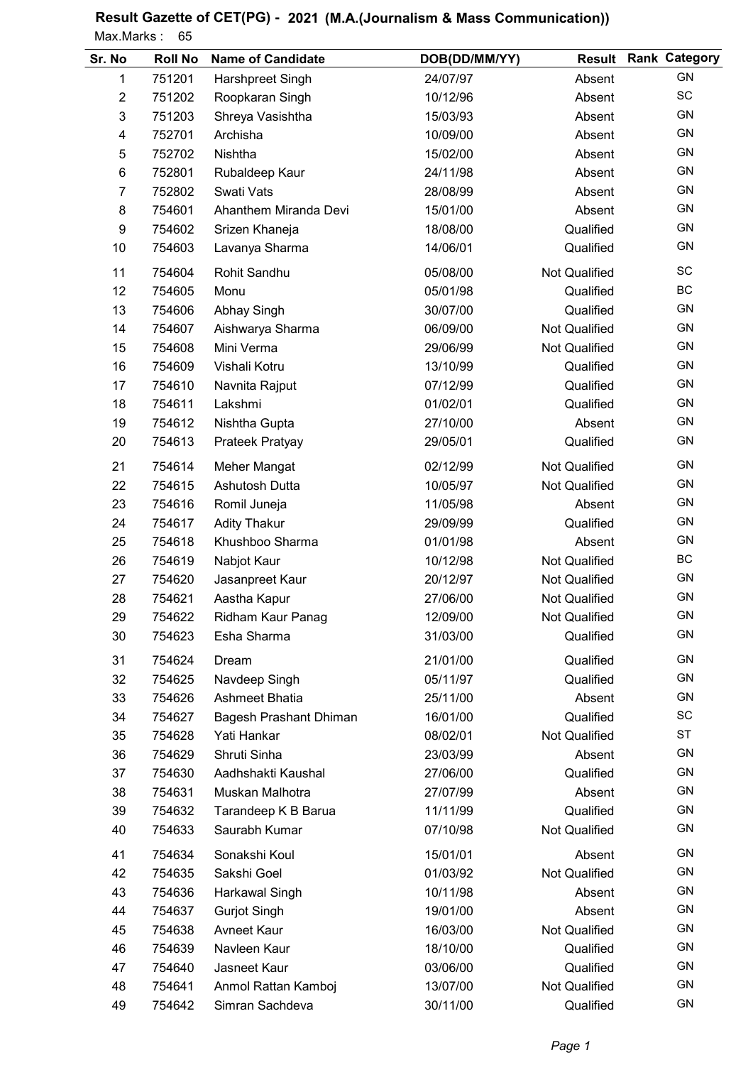| Sr. No         | <b>Roll No</b> | <b>Name of Candidate</b> | DOB(DD/MM/YY) |                      | <b>Result Rank Category</b> |
|----------------|----------------|--------------------------|---------------|----------------------|-----------------------------|
| 1              | 751201         | Harshpreet Singh         | 24/07/97      | Absent               | GN                          |
| $\overline{2}$ | 751202         | Roopkaran Singh          | 10/12/96      | Absent               | SC                          |
| 3              | 751203         | Shreya Vasishtha         | 15/03/93      | Absent               | <b>GN</b>                   |
| 4              | 752701         | Archisha                 | 10/09/00      | Absent               | <b>GN</b>                   |
| $\mathbf 5$    | 752702         | Nishtha                  | 15/02/00      | Absent               | <b>GN</b>                   |
| $\,6$          | 752801         | Rubaldeep Kaur           | 24/11/98      | Absent               | <b>GN</b>                   |
| $\overline{7}$ | 752802         | Swati Vats               | 28/08/99      | Absent               | <b>GN</b>                   |
| 8              | 754601         | Ahanthem Miranda Devi    | 15/01/00      | Absent               | GN                          |
| 9              | 754602         | Srizen Khaneja           | 18/08/00      | Qualified            | <b>GN</b>                   |
| 10             | 754603         | Lavanya Sharma           | 14/06/01      | Qualified            | GN                          |
| 11             | 754604         | Rohit Sandhu             | 05/08/00      | Not Qualified        | SC                          |
| 12             | 754605         | Monu                     | 05/01/98      | Qualified            | BC                          |
| 13             | 754606         | <b>Abhay Singh</b>       | 30/07/00      | Qualified            | GN                          |
| 14             | 754607         | Aishwarya Sharma         | 06/09/00      | Not Qualified        | <b>GN</b>                   |
| 15             | 754608         | Mini Verma               | 29/06/99      | <b>Not Qualified</b> | GN                          |
| 16             | 754609         | Vishali Kotru            | 13/10/99      | Qualified            | <b>GN</b>                   |
| 17             | 754610         | Navnita Rajput           | 07/12/99      | Qualified            | GN                          |
| 18             | 754611         | Lakshmi                  | 01/02/01      | Qualified            | <b>GN</b>                   |
| 19             | 754612         | Nishtha Gupta            | 27/10/00      | Absent               | GN                          |
| 20             | 754613         | Prateek Pratyay          | 29/05/01      | Qualified            | <b>GN</b>                   |
| 21             | 754614         | Meher Mangat             | 02/12/99      | <b>Not Qualified</b> | <b>GN</b>                   |
| 22             | 754615         | Ashutosh Dutta           | 10/05/97      | Not Qualified        | <b>GN</b>                   |
| 23             | 754616         | Romil Juneja             | 11/05/98      | Absent               | <b>GN</b>                   |
| 24             | 754617         | <b>Adity Thakur</b>      | 29/09/99      | Qualified            | GN                          |
| 25             | 754618         | Khushboo Sharma          | 01/01/98      | Absent               | GN                          |
| 26             | 754619         | Nabjot Kaur              | 10/12/98      | Not Qualified        | BC                          |
| 27             | 754620         | Jasanpreet Kaur          | 20/12/97      | Not Qualified        | GN                          |
| 28             | 754621         | Aastha Kapur             | 27/06/00      | Not Qualified        | GN                          |
| 29             | 754622         | Ridham Kaur Panag        | 12/09/00      | Not Qualified        | GN                          |
| 30             | 754623         | Esha Sharma              | 31/03/00      | Qualified            | GN                          |
| 31             | 754624         | Dream                    | 21/01/00      | Qualified            | <b>GN</b>                   |
| 32             | 754625         | Navdeep Singh            | 05/11/97      | Qualified            | GN                          |
| 33             | 754626         | Ashmeet Bhatia           | 25/11/00      | Absent               | GN                          |
| 34             | 754627         | Bagesh Prashant Dhiman   | 16/01/00      | Qualified            | SC                          |
| 35             | 754628         | Yati Hankar              | 08/02/01      | Not Qualified        | <b>ST</b>                   |
| 36             | 754629         | Shruti Sinha             | 23/03/99      | Absent               | GN                          |
| 37             | 754630         | Aadhshakti Kaushal       | 27/06/00      | Qualified            | GN                          |
| 38             | 754631         | Muskan Malhotra          | 27/07/99      | Absent               | GN                          |
| 39             | 754632         | Tarandeep K B Barua      | 11/11/99      | Qualified            | GN                          |
| 40             | 754633         | Saurabh Kumar            | 07/10/98      | Not Qualified        | GN                          |
| 41             | 754634         | Sonakshi Koul            | 15/01/01      | Absent               | GN                          |
| 42             | 754635         | Sakshi Goel              | 01/03/92      | <b>Not Qualified</b> | <b>GN</b>                   |
| 43             | 754636         | Harkawal Singh           | 10/11/98      | Absent               | GN                          |
| 44             | 754637         | <b>Gurjot Singh</b>      | 19/01/00      | Absent               | GN                          |
| 45             | 754638         | <b>Avneet Kaur</b>       | 16/03/00      | Not Qualified        | GN                          |
| 46             | 754639         | Navleen Kaur             | 18/10/00      | Qualified            | GN                          |
| 47             | 754640         | Jasneet Kaur             | 03/06/00      | Qualified            | GN                          |
| 48             | 754641         | Anmol Rattan Kamboj      | 13/07/00      | Not Qualified        | GN                          |
| 49             | 754642         | Simran Sachdeva          | 30/11/00      | Qualified            | GN                          |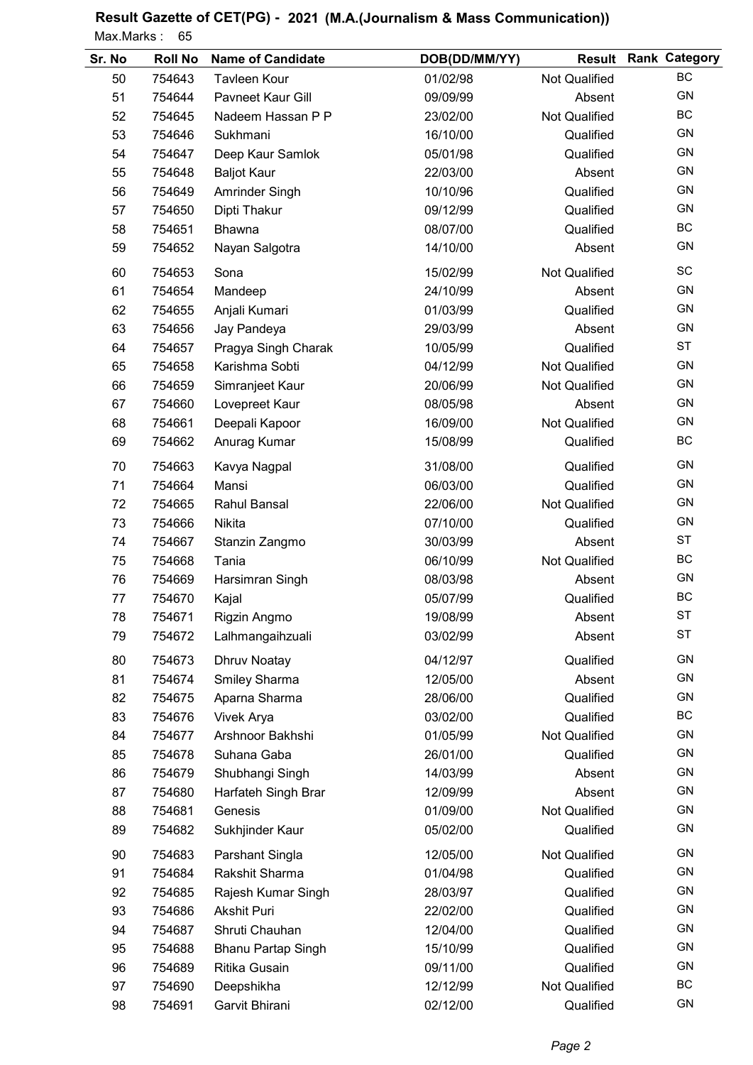| Sr. No | <b>Roll No</b> | <b>Name of Candidate</b>  | DOB(DD/MM/YY) | <b>Result</b>        | <b>Rank Category</b> |
|--------|----------------|---------------------------|---------------|----------------------|----------------------|
| 50     | 754643         | <b>Tavleen Kour</b>       | 01/02/98      | <b>Not Qualified</b> | BC                   |
| 51     | 754644         | Pavneet Kaur Gill         | 09/09/99      | Absent               | GN                   |
| 52     | 754645         | Nadeem Hassan P P         | 23/02/00      | <b>Not Qualified</b> | BC                   |
| 53     | 754646         | Sukhmani                  | 16/10/00      | Qualified            | GN                   |
| 54     | 754647         | Deep Kaur Samlok          | 05/01/98      | Qualified            | <b>GN</b>            |
| 55     | 754648         | <b>Baljot Kaur</b>        | 22/03/00      | Absent               | <b>GN</b>            |
| 56     | 754649         | Amrinder Singh            | 10/10/96      | Qualified            | GN                   |
| 57     | 754650         | Dipti Thakur              | 09/12/99      | Qualified            | GN                   |
| 58     | 754651         | Bhawna                    | 08/07/00      | Qualified            | BC                   |
| 59     | 754652         | Nayan Salgotra            | 14/10/00      | Absent               | <b>GN</b>            |
| 60     | 754653         | Sona                      | 15/02/99      | <b>Not Qualified</b> | SC                   |
| 61     | 754654         | Mandeep                   | 24/10/99      | Absent               | <b>GN</b>            |
| 62     | 754655         | Anjali Kumari             | 01/03/99      | Qualified            | GN                   |
| 63     | 754656         | Jay Pandeya               | 29/03/99      | Absent               | <b>GN</b>            |
| 64     | 754657         | Pragya Singh Charak       | 10/05/99      | Qualified            | <b>ST</b>            |
| 65     | 754658         | Karishma Sobti            | 04/12/99      | Not Qualified        | <b>GN</b>            |
| 66     | 754659         | Simranjeet Kaur           | 20/06/99      | <b>Not Qualified</b> | GN                   |
| 67     | 754660         | Lovepreet Kaur            | 08/05/98      | Absent               | <b>GN</b>            |
| 68     | 754661         | Deepali Kapoor            | 16/09/00      | <b>Not Qualified</b> | GN                   |
| 69     | 754662         | Anurag Kumar              | 15/08/99      | Qualified            | BC                   |
| 70     | 754663         | Kavya Nagpal              | 31/08/00      | Qualified            | GN                   |
| 71     | 754664         | Mansi                     | 06/03/00      | Qualified            | GN                   |
| 72     | 754665         | Rahul Bansal              | 22/06/00      | Not Qualified        | GN                   |
| 73     | 754666         | Nikita                    | 07/10/00      | Qualified            | GN                   |
| 74     | 754667         | Stanzin Zangmo            | 30/03/99      | Absent               | <b>ST</b>            |
| 75     | 754668         | Tania                     | 06/10/99      | Not Qualified        | BC                   |
| 76     | 754669         | Harsimran Singh           | 08/03/98      | Absent               | GN                   |
| 77     | 754670         | Kajal                     | 05/07/99      | Qualified            | BC                   |
| 78     | 754671         | Rigzin Angmo              | 19/08/99      | Absent               | <b>ST</b>            |
| 79     | 754672         | Lalhmangaihzuali          | 03/02/99      | Absent               | <b>ST</b>            |
| 80     | 754673         | Dhruv Noatay              | 04/12/97      | Qualified            | <b>GN</b>            |
| 81     | 754674         | Smiley Sharma             | 12/05/00      | Absent               | GN                   |
| 82     | 754675         | Aparna Sharma             | 28/06/00      | Qualified            | GN                   |
| 83     | 754676         | Vivek Arya                | 03/02/00      | Qualified            | BC                   |
| 84     | 754677         | Arshnoor Bakhshi          | 01/05/99      | <b>Not Qualified</b> | GN                   |
| 85     | 754678         | Suhana Gaba               | 26/01/00      | Qualified            | GN                   |
| 86     | 754679         | Shubhangi Singh           | 14/03/99      | Absent               | GN                   |
| 87     | 754680         | Harfateh Singh Brar       | 12/09/99      | Absent               | GN                   |
| 88     | 754681         | Genesis                   | 01/09/00      | Not Qualified        | GN                   |
| 89     | 754682         | Sukhjinder Kaur           | 05/02/00      | Qualified            | GN                   |
| 90     | 754683         | Parshant Singla           | 12/05/00      | <b>Not Qualified</b> | GN                   |
| 91     | 754684         | Rakshit Sharma            | 01/04/98      | Qualified            | GN                   |
| 92     | 754685         | Rajesh Kumar Singh        | 28/03/97      | Qualified            | GN                   |
| 93     | 754686         | <b>Akshit Puri</b>        | 22/02/00      | Qualified            | GN                   |
| 94     | 754687         | Shruti Chauhan            | 12/04/00      | Qualified            | GN                   |
| 95     | 754688         | <b>Bhanu Partap Singh</b> | 15/10/99      | Qualified            | GN                   |
| 96     | 754689         | Ritika Gusain             | 09/11/00      | Qualified            | GN                   |
| 97     | 754690         | Deepshikha                | 12/12/99      | Not Qualified        | BC                   |
| 98     | 754691         | Garvit Bhirani            | 02/12/00      | Qualified            | GN                   |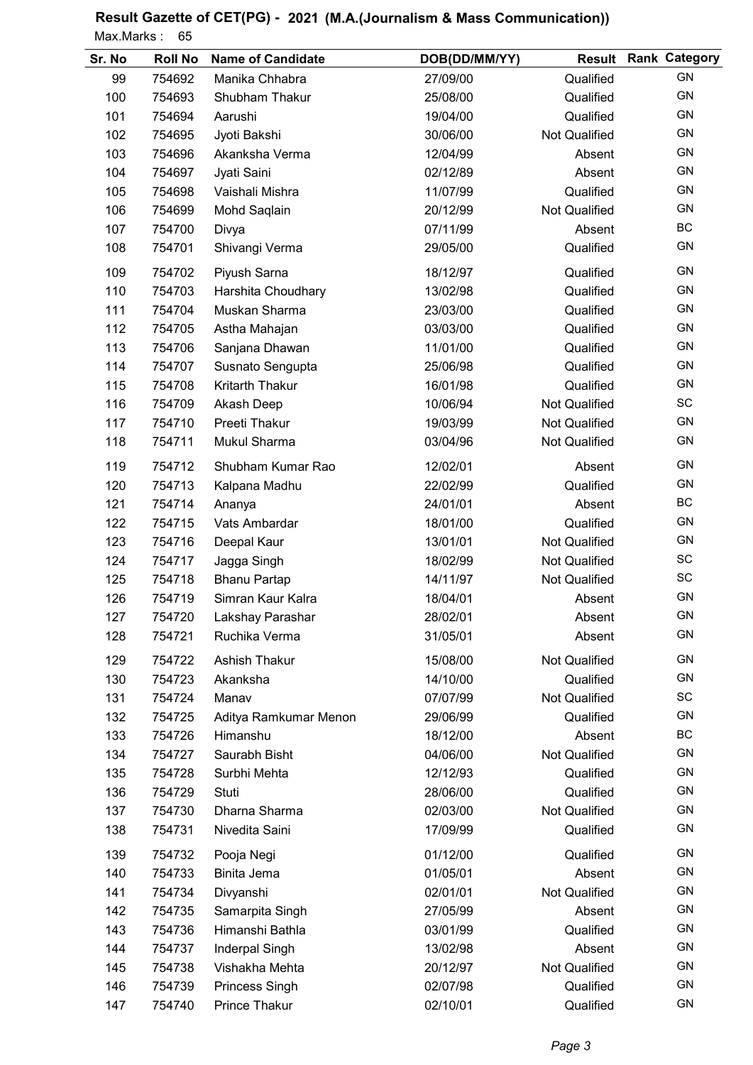| Sr. No | <b>Roll No</b> | <b>Name of Candidate</b> | DOB(DD/MM/YY) | <b>Result</b>        | <b>Rank Category</b> |
|--------|----------------|--------------------------|---------------|----------------------|----------------------|
| 99     | 754692         | Manika Chhabra           | 27/09/00      | Qualified            | <b>GN</b>            |
| 100    | 754693         | Shubham Thakur           | 25/08/00      | Qualified            | <b>GN</b>            |
| 101    | 754694         | Aarushi                  | 19/04/00      | Qualified            | <b>GN</b>            |
| 102    | 754695         | Jyoti Bakshi             | 30/06/00      | Not Qualified        | <b>GN</b>            |
| 103    | 754696         | Akanksha Verma           | 12/04/99      | Absent               | GN                   |
| 104    | 754697         | Jyati Saini              | 02/12/89      | Absent               | GN                   |
| 105    | 754698         | Vaishali Mishra          | 11/07/99      | Qualified            | <b>GN</b>            |
| 106    | 754699         | Mohd Saqlain             | 20/12/99      | <b>Not Qualified</b> | GN                   |
| 107    | 754700         | Divya                    | 07/11/99      | Absent               | <b>BC</b>            |
| 108    | 754701         | Shivangi Verma           | 29/05/00      | Qualified            | <b>GN</b>            |
| 109    | 754702         | Piyush Sarna             | 18/12/97      | Qualified            | <b>GN</b>            |
| 110    | 754703         | Harshita Choudhary       | 13/02/98      | Qualified            | GN                   |
| 111    | 754704         | Muskan Sharma            | 23/03/00      | Qualified            | GN                   |
| 112    | 754705         | Astha Mahajan            | 03/03/00      | Qualified            | <b>GN</b>            |
| 113    | 754706         | Sanjana Dhawan           | 11/01/00      | Qualified            | <b>GN</b>            |
| 114    | 754707         | Susnato Sengupta         | 25/06/98      | Qualified            | <b>GN</b>            |
| 115    | 754708         | Kritarth Thakur          | 16/01/98      | Qualified            | <b>GN</b>            |
| 116    | 754709         | Akash Deep               | 10/06/94      | Not Qualified        | SC                   |
| 117    | 754710         | Preeti Thakur            | 19/03/99      | <b>Not Qualified</b> | GN                   |
| 118    | 754711         | Mukul Sharma             | 03/04/96      | <b>Not Qualified</b> | GN                   |
| 119    | 754712         | Shubham Kumar Rao        | 12/02/01      | Absent               | <b>GN</b>            |
| 120    | 754713         | Kalpana Madhu            | 22/02/99      | Qualified            | GN                   |
| 121    | 754714         | Ananya                   | 24/01/01      | Absent               | <b>BC</b>            |
| 122    | 754715         | Vats Ambardar            | 18/01/00      | Qualified            | <b>GN</b>            |
| 123    | 754716         | Deepal Kaur              | 13/01/01      | <b>Not Qualified</b> | <b>GN</b>            |
| 124    | 754717         | Jagga Singh              | 18/02/99      | <b>Not Qualified</b> | SC                   |
| 125    | 754718         | <b>Bhanu Partap</b>      | 14/11/97      | Not Qualified        | SC                   |
| 126    | 754719         | Simran Kaur Kalra        | 18/04/01      | Absent               | GN                   |
| 127    | 754720         | Lakshay Parashar         | 28/02/01      | Absent               | <b>GN</b>            |
| 128    | 754721         | Ruchika Verma            | 31/05/01      | Absent               | GN                   |
| 129    | 754722         | Ashish Thakur            | 15/08/00      | <b>Not Qualified</b> | <b>GN</b>            |
| 130    | 754723         | Akanksha                 | 14/10/00      | Qualified            | GN                   |
| 131    | 754724         | Manav                    | 07/07/99      | <b>Not Qualified</b> | SC                   |
| 132    | 754725         | Aditya Ramkumar Menon    | 29/06/99      | Qualified            | <b>GN</b>            |
| 133    | 754726         | Himanshu                 | 18/12/00      | Absent               | BC                   |
| 134    | 754727         | Saurabh Bisht            | 04/06/00      | Not Qualified        | GN                   |
| 135    | 754728         | Surbhi Mehta             | 12/12/93      | Qualified            | GN                   |
| 136    | 754729         | Stuti                    | 28/06/00      | Qualified            | GN                   |
| 137    | 754730         | Dharna Sharma            | 02/03/00      | <b>Not Qualified</b> | <b>GN</b>            |
| 138    | 754731         | Nivedita Saini           | 17/09/99      | Qualified            | GN                   |
| 139    | 754732         | Pooja Negi               | 01/12/00      | Qualified            | <b>GN</b>            |
| 140    | 754733         | Binita Jema              | 01/05/01      | Absent               | <b>GN</b>            |
| 141    | 754734         | Divyanshi                | 02/01/01      | <b>Not Qualified</b> | <b>GN</b>            |
| 142    | 754735         | Samarpita Singh          | 27/05/99      | Absent               | <b>GN</b>            |
| 143    | 754736         | Himanshi Bathla          | 03/01/99      | Qualified            | <b>GN</b>            |
| 144    | 754737         | Inderpal Singh           | 13/02/98      | Absent               | GN                   |
| 145    | 754738         | Vishakha Mehta           | 20/12/97      | Not Qualified        | GN                   |
| 146    | 754739         | Princess Singh           | 02/07/98      | Qualified            | GN                   |
| 147    | 754740         | Prince Thakur            | 02/10/01      | Qualified            | GN                   |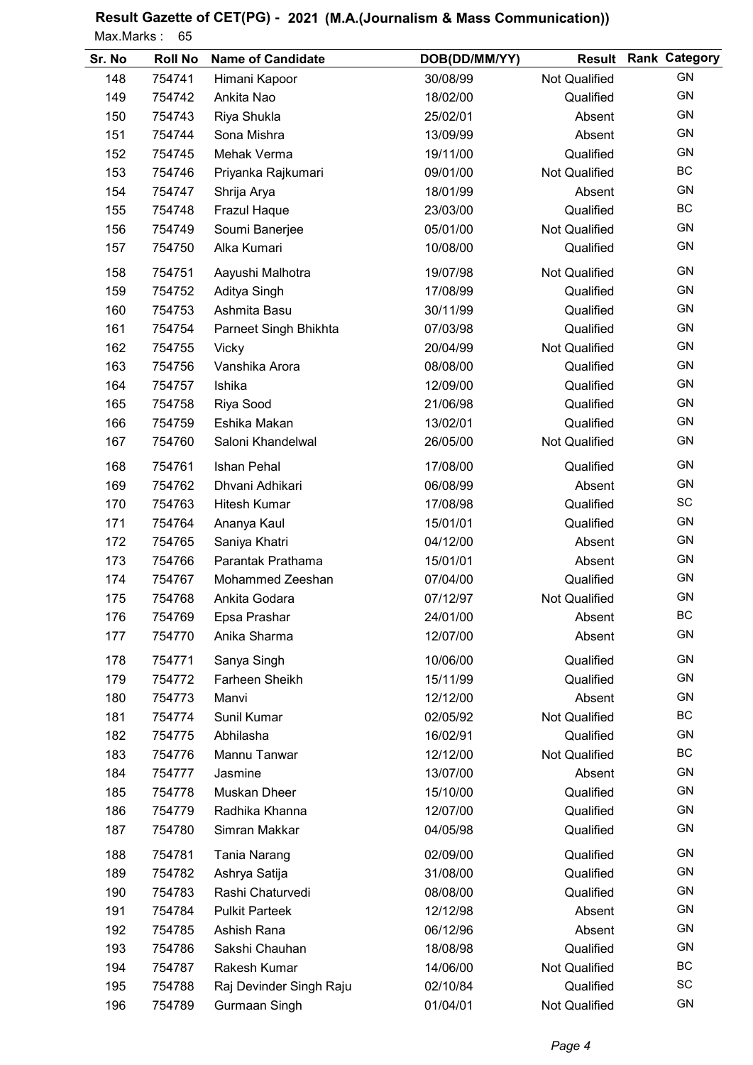| Sr. No | <b>Roll No</b> | <b>Name of Candidate</b> | DOB(DD/MM/YY) | <b>Result</b>        | <b>Rank Category</b> |
|--------|----------------|--------------------------|---------------|----------------------|----------------------|
| 148    | 754741         | Himani Kapoor            | 30/08/99      | <b>Not Qualified</b> | <b>GN</b>            |
| 149    | 754742         | Ankita Nao               | 18/02/00      | Qualified            | <b>GN</b>            |
| 150    | 754743         | Riya Shukla              | 25/02/01      | Absent               | <b>GN</b>            |
| 151    | 754744         | Sona Mishra              | 13/09/99      | Absent               | <b>GN</b>            |
| 152    | 754745         | Mehak Verma              | 19/11/00      | Qualified            | GN                   |
| 153    | 754746         | Priyanka Rajkumari       | 09/01/00      | <b>Not Qualified</b> | <b>BC</b>            |
| 154    | 754747         | Shrija Arya              | 18/01/99      | Absent               | <b>GN</b>            |
| 155    | 754748         | Frazul Haque             | 23/03/00      | Qualified            | <b>BC</b>            |
| 156    | 754749         | Soumi Banerjee           | 05/01/00      | <b>Not Qualified</b> | GN                   |
| 157    | 754750         | Alka Kumari              | 10/08/00      | Qualified            | GN                   |
| 158    | 754751         | Aayushi Malhotra         | 19/07/98      | <b>Not Qualified</b> | <b>GN</b>            |
| 159    | 754752         | Aditya Singh             | 17/08/99      | Qualified            | GN                   |
| 160    | 754753         | Ashmita Basu             | 30/11/99      | Qualified            | GN                   |
| 161    | 754754         | Parneet Singh Bhikhta    | 07/03/98      | Qualified            | <b>GN</b>            |
| 162    | 754755         | Vicky                    | 20/04/99      | Not Qualified        | <b>GN</b>            |
| 163    | 754756         | Vanshika Arora           | 08/08/00      | Qualified            | <b>GN</b>            |
| 164    | 754757         | Ishika                   | 12/09/00      | Qualified            | <b>GN</b>            |
| 165    | 754758         | Riya Sood                | 21/06/98      | Qualified            | GN                   |
| 166    | 754759         | Eshika Makan             | 13/02/01      | Qualified            | GN                   |
| 167    | 754760         | Saloni Khandelwal        | 26/05/00      | <b>Not Qualified</b> | GN                   |
| 168    | 754761         | Ishan Pehal              | 17/08/00      | Qualified            | <b>GN</b>            |
| 169    | 754762         | Dhvani Adhikari          | 06/08/99      | Absent               | GN                   |
| 170    | 754763         | <b>Hitesh Kumar</b>      | 17/08/98      | Qualified            | SC                   |
| 171    | 754764         | Ananya Kaul              | 15/01/01      | Qualified            | GN                   |
| 172    | 754765         | Saniya Khatri            | 04/12/00      | Absent               | <b>GN</b>            |
| 173    | 754766         | Parantak Prathama        | 15/01/01      | Absent               | <b>GN</b>            |
| 174    | 754767         | Mohammed Zeeshan         | 07/04/00      | Qualified            | <b>GN</b>            |
| 175    | 754768         | Ankita Godara            | 07/12/97      | Not Qualified        | <b>GN</b>            |
| 176    | 754769         | Epsa Prashar             | 24/01/00      | Absent               | <b>BC</b>            |
| 177    | 754770         | Anika Sharma             | 12/07/00      | Absent               | GN                   |
| 178    | 754771         | Sanya Singh              | 10/06/00      | Qualified            | <b>GN</b>            |
| 179    | 754772         | Farheen Sheikh           | 15/11/99      | Qualified            | GN                   |
| 180    | 754773         | Manvi                    | 12/12/00      | Absent               | GN                   |
| 181    | 754774         | Sunil Kumar              | 02/05/92      | <b>Not Qualified</b> | BC                   |
| 182    | 754775         | Abhilasha                | 16/02/91      | Qualified            | GN                   |
| 183    | 754776         | Mannu Tanwar             | 12/12/00      | <b>Not Qualified</b> | BC                   |
| 184    | 754777         | Jasmine                  | 13/07/00      | Absent               | GN                   |
| 185    | 754778         | Muskan Dheer             | 15/10/00      | Qualified            | GN                   |
| 186    | 754779         | Radhika Khanna           | 12/07/00      | Qualified            | GN                   |
| 187    | 754780         | Simran Makkar            | 04/05/98      | Qualified            | GN                   |
| 188    | 754781         | <b>Tania Narang</b>      | 02/09/00      | Qualified            | <b>GN</b>            |
| 189    | 754782         | Ashrya Satija            | 31/08/00      | Qualified            | <b>GN</b>            |
| 190    | 754783         | Rashi Chaturvedi         | 08/08/00      | Qualified            | <b>GN</b>            |
| 191    | 754784         | <b>Pulkit Parteek</b>    | 12/12/98      | Absent               | <b>GN</b>            |
| 192    | 754785         | Ashish Rana              | 06/12/96      | Absent               | <b>GN</b>            |
| 193    | 754786         | Sakshi Chauhan           | 18/08/98      | Qualified            | GN                   |
| 194    | 754787         | Rakesh Kumar             | 14/06/00      | <b>Not Qualified</b> | BC                   |
| 195    | 754788         | Raj Devinder Singh Raju  | 02/10/84      | Qualified            | SC                   |
| 196    | 754789         | Gurmaan Singh            | 01/04/01      | Not Qualified        | GN                   |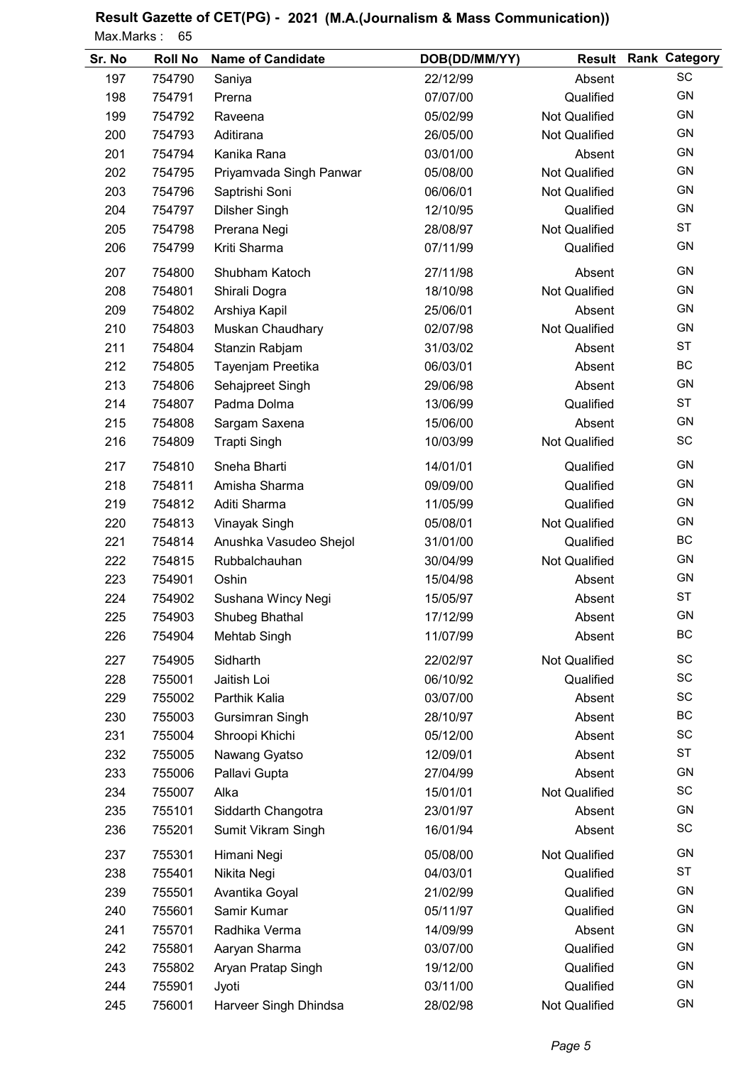| Sr. No | <b>Roll No</b> | <b>Name of Candidate</b> | DOB(DD/MM/YY) | <b>Result</b>        | <b>Rank Category</b> |
|--------|----------------|--------------------------|---------------|----------------------|----------------------|
| 197    | 754790         | Saniya                   | 22/12/99      | Absent               | SC                   |
| 198    | 754791         | Prerna                   | 07/07/00      | Qualified            | GN                   |
| 199    | 754792         | Raveena                  | 05/02/99      | Not Qualified        | <b>GN</b>            |
| 200    | 754793         | Aditirana                | 26/05/00      | <b>Not Qualified</b> | <b>GN</b>            |
| 201    | 754794         | Kanika Rana              | 03/01/00      | Absent               | GN                   |
| 202    | 754795         | Priyamvada Singh Panwar  | 05/08/00      | <b>Not Qualified</b> | <b>GN</b>            |
| 203    | 754796         | Saptrishi Soni           | 06/06/01      | <b>Not Qualified</b> | <b>GN</b>            |
| 204    | 754797         | <b>Dilsher Singh</b>     | 12/10/95      | Qualified            | <b>GN</b>            |
| 205    | 754798         | Prerana Negi             | 28/08/97      | <b>Not Qualified</b> | <b>ST</b>            |
| 206    | 754799         | Kriti Sharma             | 07/11/99      | Qualified            | GN                   |
| 207    | 754800         | Shubham Katoch           | 27/11/98      | Absent               | GN                   |
| 208    | 754801         | Shirali Dogra            | 18/10/98      | <b>Not Qualified</b> | GN                   |
| 209    | 754802         | Arshiya Kapil            | 25/06/01      | Absent               | GN                   |
| 210    | 754803         | Muskan Chaudhary         | 02/07/98      | Not Qualified        | GN                   |
| 211    | 754804         | Stanzin Rabjam           | 31/03/02      | Absent               | <b>ST</b>            |
| 212    | 754805         | Tayenjam Preetika        | 06/03/01      | Absent               | BC                   |
| 213    | 754806         | Sehajpreet Singh         | 29/06/98      | Absent               | <b>GN</b>            |
| 214    | 754807         | Padma Dolma              | 13/06/99      | Qualified            | <b>ST</b>            |
| 215    | 754808         | Sargam Saxena            | 15/06/00      | Absent               | GN                   |
| 216    | 754809         | <b>Trapti Singh</b>      | 10/03/99      | Not Qualified        | SC                   |
| 217    | 754810         | Sneha Bharti             | 14/01/01      | Qualified            | <b>GN</b>            |
| 218    | 754811         | Amisha Sharma            | 09/09/00      | Qualified            | GN                   |
| 219    | 754812         | Aditi Sharma             | 11/05/99      | Qualified            | GN                   |
| 220    | 754813         | Vinayak Singh            | 05/08/01      | <b>Not Qualified</b> | GN                   |
| 221    | 754814         | Anushka Vasudeo Shejol   | 31/01/00      | Qualified            | BC                   |
| 222    | 754815         | Rubbalchauhan            | 30/04/99      | <b>Not Qualified</b> | <b>GN</b>            |
| 223    | 754901         | Oshin                    | 15/04/98      | Absent               | <b>GN</b>            |
| 224    | 754902         | Sushana Wincy Negi       | 15/05/97      | Absent               | <b>ST</b>            |
| 225    | 754903         | Shubeg Bhathal           | 17/12/99      | Absent               | <b>GN</b>            |
| 226    | 754904         | Mehtab Singh             | 11/07/99      | Absent               | BC                   |
| 227    | 754905         | Sidharth                 | 22/02/97      | <b>Not Qualified</b> | SC                   |
| 228    | 755001         | Jaitish Loi              | 06/10/92      | Qualified            | SC                   |
| 229    | 755002         | Parthik Kalia            | 03/07/00      | Absent               | SC                   |
| 230    | 755003         | Gursimran Singh          | 28/10/97      | Absent               | BC                   |
| 231    | 755004         | Shroopi Khichi           | 05/12/00      | Absent               | SC                   |
| 232    | 755005         | Nawang Gyatso            | 12/09/01      | Absent               | <b>ST</b>            |
| 233    | 755006         | Pallavi Gupta            | 27/04/99      | Absent               | GN                   |
| 234    | 755007         | Alka                     | 15/01/01      | <b>Not Qualified</b> | SC                   |
| 235    | 755101         | Siddarth Changotra       | 23/01/97      | Absent               | GN                   |
| 236    | 755201         | Sumit Vikram Singh       | 16/01/94      | Absent               | SC                   |
| 237    | 755301         | Himani Negi              | 05/08/00      | <b>Not Qualified</b> | GN                   |
| 238    | 755401         | Nikita Negi              | 04/03/01      | Qualified            | <b>ST</b>            |
| 239    | 755501         | Avantika Goyal           | 21/02/99      | Qualified            | GN                   |
| 240    | 755601         | Samir Kumar              | 05/11/97      | Qualified            | GN                   |
| 241    | 755701         | Radhika Verma            | 14/09/99      | Absent               | GN                   |
| 242    | 755801         | Aaryan Sharma            | 03/07/00      | Qualified            | GN                   |
| 243    | 755802         | Aryan Pratap Singh       | 19/12/00      | Qualified            | GN                   |
| 244    | 755901         | Jyoti                    | 03/11/00      | Qualified            | GN                   |
| 245    | 756001         | Harveer Singh Dhindsa    | 28/02/98      | Not Qualified        | GN                   |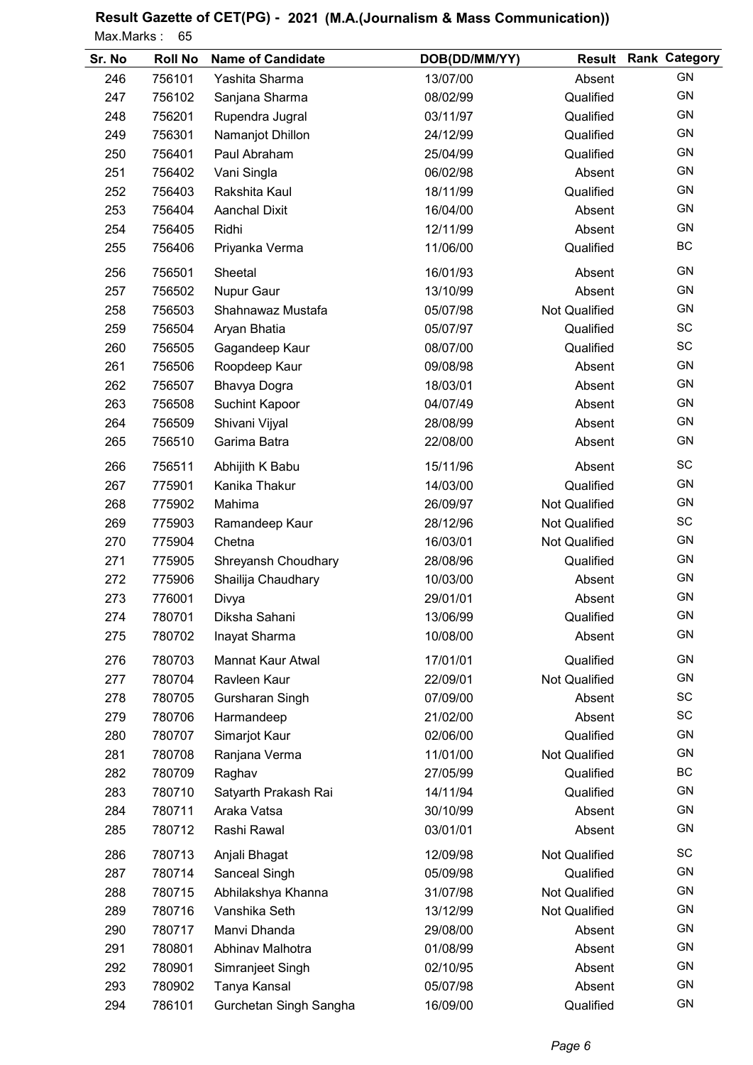| Sr. No | <b>Roll No</b> | <b>Name of Candidate</b> | DOB(DD/MM/YY) | <b>Result</b>        | <b>Rank Category</b> |
|--------|----------------|--------------------------|---------------|----------------------|----------------------|
| 246    | 756101         | Yashita Sharma           | 13/07/00      | Absent               | GN                   |
| 247    | 756102         | Sanjana Sharma           | 08/02/99      | Qualified            | GN                   |
| 248    | 756201         | Rupendra Jugral          | 03/11/97      | Qualified            | GN                   |
| 249    | 756301         | Namanjot Dhillon         | 24/12/99      | Qualified            | GN                   |
| 250    | 756401         | Paul Abraham             | 25/04/99      | Qualified            | GN                   |
| 251    | 756402         | Vani Singla              | 06/02/98      | Absent               | GN                   |
| 252    | 756403         | Rakshita Kaul            | 18/11/99      | Qualified            | GN                   |
| 253    | 756404         | <b>Aanchal Dixit</b>     | 16/04/00      | Absent               | GN                   |
| 254    | 756405         | Ridhi                    | 12/11/99      | Absent               | GN                   |
| 255    | 756406         | Priyanka Verma           | 11/06/00      | Qualified            | BC                   |
| 256    | 756501         | Sheetal                  | 16/01/93      | Absent               | GN                   |
| 257    | 756502         | Nupur Gaur               | 13/10/99      | Absent               | GN                   |
| 258    | 756503         | Shahnawaz Mustafa        | 05/07/98      | <b>Not Qualified</b> | GN                   |
| 259    | 756504         | Aryan Bhatia             | 05/07/97      | Qualified            | SC                   |
| 260    | 756505         | Gagandeep Kaur           | 08/07/00      | Qualified            | SC                   |
| 261    | 756506         | Roopdeep Kaur            | 09/08/98      | Absent               | GN                   |
| 262    | 756507         | Bhavya Dogra             | 18/03/01      | Absent               | GN                   |
| 263    | 756508         | Suchint Kapoor           | 04/07/49      | Absent               | GN                   |
| 264    | 756509         | Shivani Vijyal           | 28/08/99      | Absent               | GN                   |
| 265    | 756510         | Garima Batra             | 22/08/00      | Absent               | GN                   |
| 266    | 756511         | Abhijith K Babu          | 15/11/96      | Absent               | SC                   |
| 267    | 775901         | Kanika Thakur            | 14/03/00      | Qualified            | GN                   |
| 268    | 775902         | Mahima                   | 26/09/97      | Not Qualified        | GN                   |
| 269    | 775903         | Ramandeep Kaur           | 28/12/96      | Not Qualified        | SC                   |
| 270    | 775904         | Chetna                   | 16/03/01      | Not Qualified        | GN                   |
| 271    | 775905         | Shreyansh Choudhary      | 28/08/96      | Qualified            | GN                   |
| 272    | 775906         | Shailija Chaudhary       | 10/03/00      | Absent               | GN                   |
| 273    | 776001         | Divya                    | 29/01/01      | Absent               | GN                   |
| 274    | 780701         | Diksha Sahani            | 13/06/99      | Qualified            | <b>GN</b>            |
| 275    | 780702         | Inayat Sharma            | 10/08/00      | Absent               | <b>GN</b>            |
| 276    | 780703         | Mannat Kaur Atwal        | 17/01/01      | Qualified            | GN                   |
| 277    | 780704         | Ravleen Kaur             | 22/09/01      | <b>Not Qualified</b> | GN                   |
| 278    | 780705         | Gursharan Singh          | 07/09/00      | Absent               | SC                   |
| 279    | 780706         | Harmandeep               | 21/02/00      | Absent               | SC                   |
| 280    | 780707         | Simarjot Kaur            | 02/06/00      | Qualified            | GN                   |
| 281    | 780708         | Ranjana Verma            | 11/01/00      | <b>Not Qualified</b> | GN                   |
| 282    | 780709         | Raghav                   | 27/05/99      | Qualified            | BC                   |
| 283    | 780710         | Satyarth Prakash Rai     | 14/11/94      | Qualified            | GN                   |
| 284    | 780711         | Araka Vatsa              | 30/10/99      | Absent               | GN                   |
| 285    | 780712         | Rashi Rawal              | 03/01/01      | Absent               | GN                   |
| 286    | 780713         | Anjali Bhagat            | 12/09/98      | <b>Not Qualified</b> | SC                   |
| 287    | 780714         | Sanceal Singh            | 05/09/98      | Qualified            | GN                   |
| 288    | 780715         | Abhilakshya Khanna       | 31/07/98      | Not Qualified        | GN                   |
| 289    | 780716         | Vanshika Seth            | 13/12/99      | Not Qualified        | GN                   |
| 290    | 780717         | Manvi Dhanda             | 29/08/00      | Absent               | GN                   |
| 291    | 780801         | Abhinav Malhotra         | 01/08/99      | Absent               | GN                   |
| 292    | 780901         | Simranjeet Singh         | 02/10/95      | Absent               | GN                   |
| 293    | 780902         | Tanya Kansal             | 05/07/98      | Absent               | GN                   |
| 294    | 786101         | Gurchetan Singh Sangha   | 16/09/00      | Qualified            | GN                   |